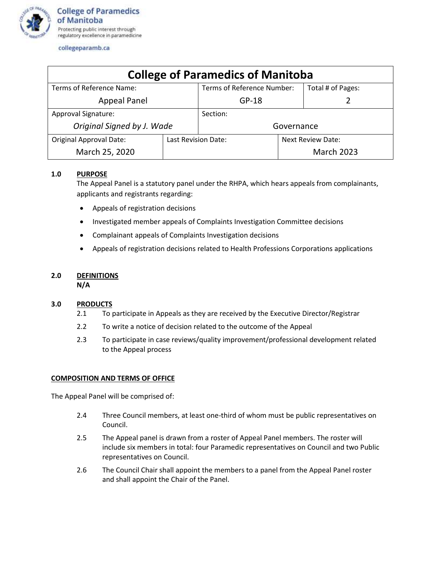

collegeparamb.ca

| <b>College of Paramedics of Manitoba</b> |                     |                            |                   |                   |
|------------------------------------------|---------------------|----------------------------|-------------------|-------------------|
| Terms of Reference Name:                 |                     | Terms of Reference Number: |                   | Total # of Pages: |
| <b>Appeal Panel</b>                      |                     | $GP-18$                    |                   |                   |
| Approval Signature:                      |                     | Section:                   |                   |                   |
| Original Signed by J. Wade               |                     | Governance                 |                   |                   |
| <b>Original Approval Date:</b>           | Last Revision Date: |                            | Next Review Date: |                   |
| March 25, 2020                           |                     |                            |                   | <b>March 2023</b> |

# **1.0 PURPOSE**

The Appeal Panel is a statutory panel under the RHPA, which hears appeals from complainants, applicants and registrants regarding:

- Appeals of registration decisions
- Investigated member appeals of Complaints Investigation Committee decisions
- Complainant appeals of Complaints Investigation decisions
- Appeals of registration decisions related to Health Professions Corporations applications

# **2.0 DEFINITIONS**

**N/A**

## **3.0 PRODUCTS**

- 2.1 To participate in Appeals as they are received by the Executive Director/Registrar
- 2.2 To write a notice of decision related to the outcome of the Appeal
- 2.3 To participate in case reviews/quality improvement/professional development related to the Appeal process

## **COMPOSITION AND TERMS OF OFFICE**

The Appeal Panel will be comprised of:

- 2.4 Three Council members, at least one-third of whom must be public representatives on Council.
- 2.5 The Appeal panel is drawn from a roster of Appeal Panel members. The roster will include six members in total: four Paramedic representatives on Council and two Public representatives on Council.
- 2.6 The Council Chair shall appoint the members to a panel from the Appeal Panel roster and shall appoint the Chair of the Panel.